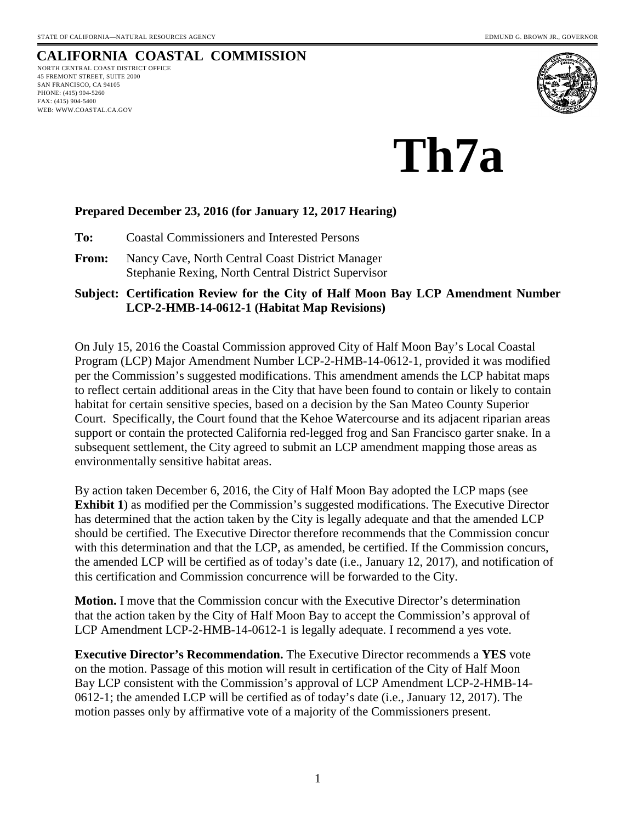# **CALIFORNIA COASTAL COMMISSION**

NORTH CENTRAL COAST DISTRICT OFFICE 45 FREMONT STREET, SUITE 2000 SAN FRANCISCO, CA 94105 PHONE: (415) 904-5260 FAX: (415) 904-5400 WEB: WWW.COASTAL.CA.GOV



# **Th7a**

# **Prepared December 23, 2016 (for January 12, 2017 Hearing)**

**To:** Coastal Commissioners and Interested Persons

**From:** Nancy Cave, North Central Coast District Manager Stephanie Rexing, North Central District Supervisor

### **Subject: Certification Review for the City of Half Moon Bay LCP Amendment Number LCP-2-HMB-14-0612-1 (Habitat Map Revisions)**

On July 15, 2016 the Coastal Commission approved City of Half Moon Bay's Local Coastal Program (LCP) Major Amendment Number LCP-2-HMB-14-0612-1, provided it was modified per the Commission's suggested modifications. This amendment amends the LCP habitat maps to reflect certain additional areas in the City that have been found to contain or likely to contain habitat for certain sensitive species, based on a decision by the San Mateo County Superior Court. Specifically, the Court found that the Kehoe Watercourse and its adjacent riparian areas support or contain the protected California red-legged frog and San Francisco garter snake. In a subsequent settlement, the City agreed to submit an LCP amendment mapping those areas as environmentally sensitive habitat areas.

By action taken December 6, 2016, the City of Half Moon Bay adopted the LCP maps (see **Exhibit 1**) as modified per the Commission's suggested modifications. The Executive Director has determined that the action taken by the City is legally adequate and that the amended LCP should be certified. The Executive Director therefore recommends that the Commission concur with this determination and that the LCP, as amended, be certified. If the Commission concurs, the amended LCP will be certified as of today's date (i.e., January 12, 2017), and notification of this certification and Commission concurrence will be forwarded to the City.

**Motion.** I move that the Commission concur with the Executive Director's determination that the action taken by the City of Half Moon Bay to accept the Commission's approval of LCP Amendment LCP-2-HMB-14-0612-1 is legally adequate. I recommend a yes vote.

**Executive Director's Recommendation.** The Executive Director recommends a **YES** vote on the motion. Passage of this motion will result in certification of the City of Half Moon Bay LCP consistent with the Commission's approval of LCP Amendment LCP-2-HMB-14- 0612-1; the amended LCP will be certified as of today's date (i.e., January 12, 2017). The motion passes only by affirmative vote of a majority of the Commissioners present.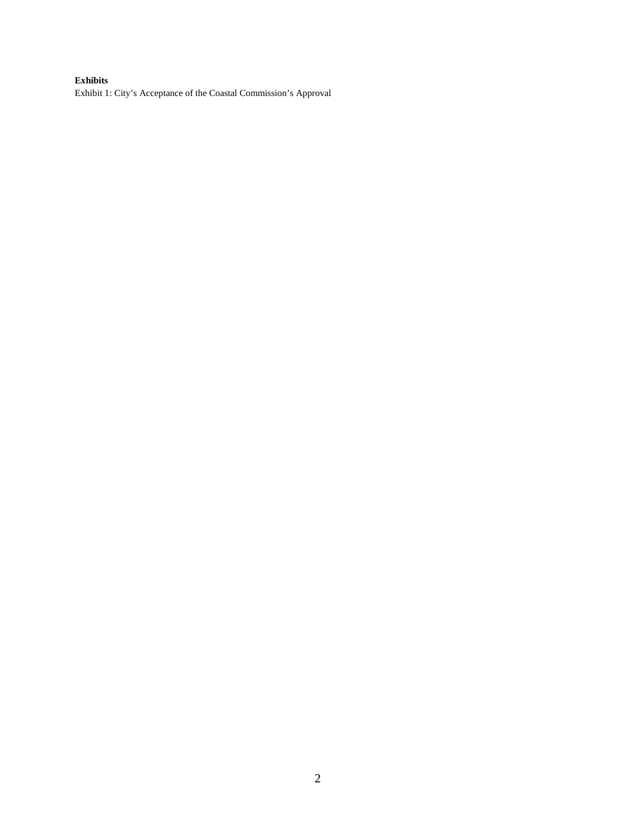#### **Exhibits**

Exhibit 1: City's Acceptance of the Coastal Commission's Approval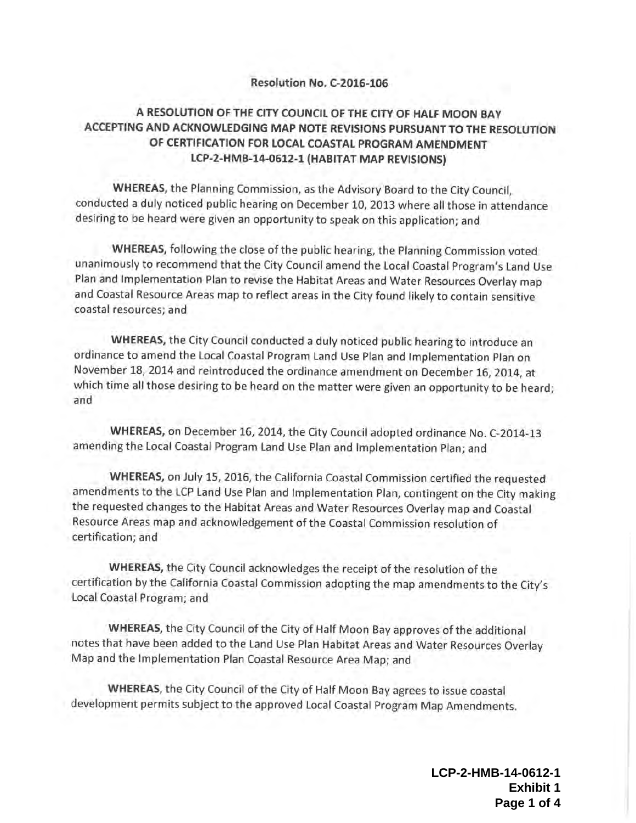#### Resolution No. C-2016-106

# A RESOLUTION OF THE CITY COUNCIL OF THE CITY OF HALF MOON BAY ACCEPTING AND ACKNOWLEDGING MAP NOTE REVISIONS PURSUANT TO THE RESOLUTION OF CERTIFICATION FOR LOCAL COASTAL PROGRAM AMENDMENT LCP-2-HMB-14-0612-1 (HABITAT MAP REVISIONS)

WHEREAS, the Planning Commission, as the Advisory Board to the City Council, conducted <sup>a</sup> duly noticed public hearing on December 10, 2013 where all those in attendance desiring to be heard were given an opportunity to speak on this application; and

WHEREAS, following the close of the public hearing, the Planning Commission voted unanimously to recommend that the City Council amend the Local Coastal Program's Land Use Plan and Implementation Plan to revise the Habitat Areas and Water Resources Overlay map and Coastal Resource Areas map to reflect areas in the City found likely to contain sensitive coastal resources; and

WHEREAS, the City Council conducted <sup>a</sup> duly noticed public hearing to introduce an ordinance to amend the Local Coastal Program Land Use Plan and Implementation Plan on November 18, 2014 and reintroduced the ordinance amendment on December 16, 2014, at which time all those desiring to be heard on the matter were given an opportunity to be heard; and

WHEREAS, on December 16, 2014, the City Council adopted ordinance No. C-2014-13 amending the Local Coastal Program Land Use Plan and Implementation Plan; and

WHEREAS, on July 15, 2016, the California Coastal Commission certified the requested amendments to the LCP Land Use Plan and Implementation Plan, contingent on the City making the requested changes to the Habitat Areas and Water Resources Overlay map and Coastal Resource Areas map and acknowledgement of the Coastal Commission resolution of certification; and

WHEREAS, the City Council acknowledges the receipt of the resolution of the certification by the California Coastal Commission adopting the map amendments to the City' <sup>s</sup> Local Coastal Program; and

WHEREAS, the City Council of the City of Half Moon Bay approves of the additional notes that have been added to the Land Use Plan Habitat Areas and Water Resources Overlay Map and the Implementation Plan Coastal Resource Area Map; and

WHEREAS, the City Council of the City of Half Moon Bay agrees to issue coastal development permits subject to the approved Local Coastal Program Map Amendments.

> **LCP-2-HMB-14-0612-1 Exhibit 1 Page 1 of 4**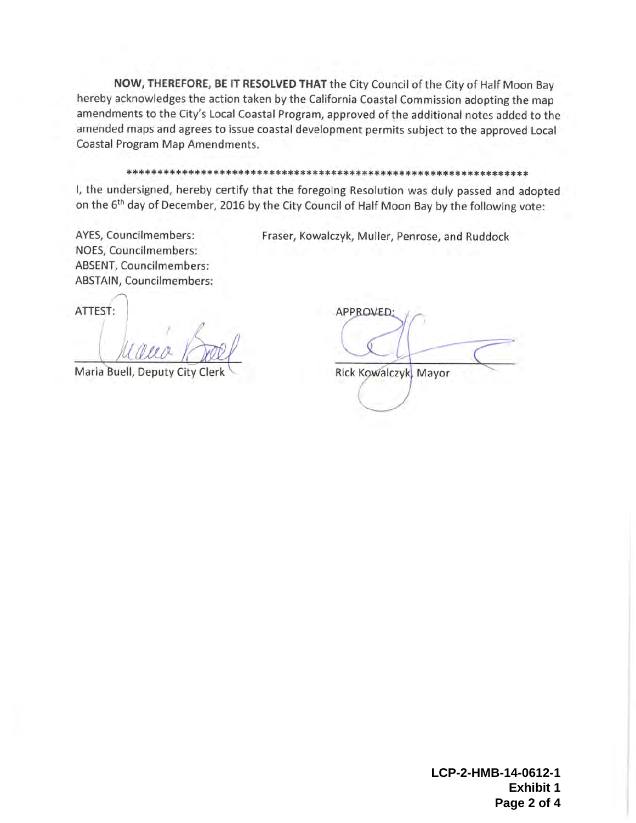NOW, THEREFORE, BE IT RESOLVED THAT the City Council of the City of Half Moon Bay hereby acknowledges the action taken by the California Coastal Commission adopting the map amendments to the City's Local Coastal Program, approved of the additional notes added to the amended maps and agrees to issue coastal development permits subject to the approved Local Coastal Program Map Amendments.

#### 

I, the undersigned, hereby certify that the foregoing Resolution was duly passed and adopted on the 6<sup>th</sup> day of December, 2016 by the City Council of Half Moon Bay by the following vote:

AYES, Councilmembers: NOES, Councilmembers: ABSENT, Councilmembers: ABSTAIN, Councilmembers:

N

ATTEST:

Maria Buell, Deputy City Clerk

APPROVED: Rick Kowalczyk; Mayor

Fraser, Kowalczyk, Muller, Penrose, and Ruddock

**LCP-2-HMB-14-0612-1 Exhibit 1 Page 2 of 4**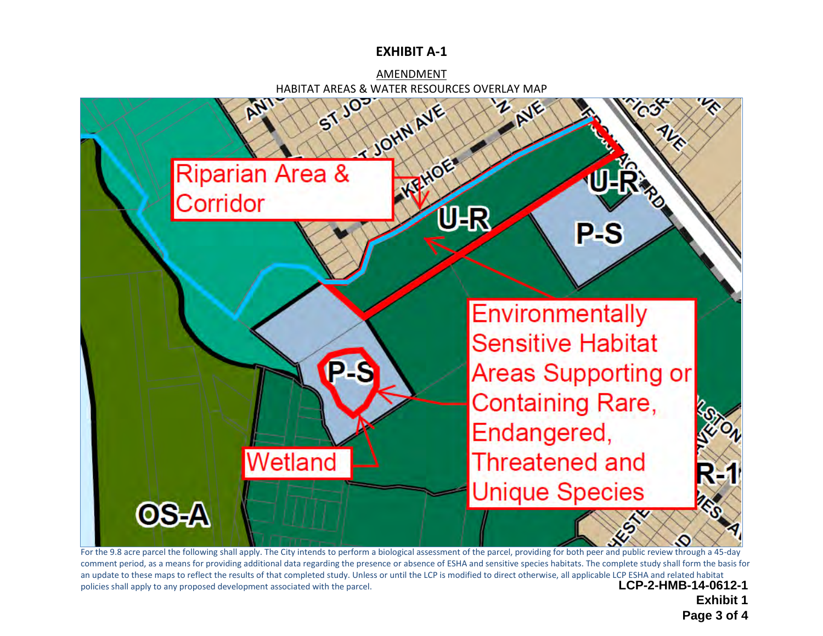# **EXHIBIT A-1**





For the 9.8 acre parcel the following shall apply. The City intends to perform a biological assessment of the parcel, providing for both peer and public review through a 45-day comment period, as a means for providing additional data regarding the presence or absence of ESHA and sensitive species habitats. The complete study shall form the basis for an update to these maps to reflect the results of that completed study. Unless or until the LCP is modified to direct otherwise, all applicable LCP ESHA and related habitat policies shall apply to any proposed development associated with the parcel. **LCP-2-HMB-14-0612-1** 

**Exhibit 1 Page 3 of 4**